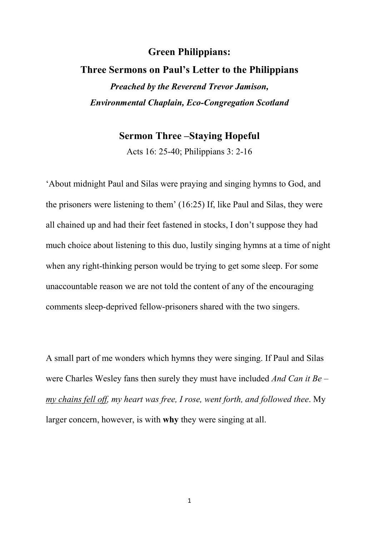## **Green Philippians:**

## **Three Sermons on Paul's Letter to the Philippians**  *Preached by the Reverend Trevor Jamison, Environmental Chaplain, Eco-Congregation Scotland*

## **Sermon Three –Staying Hopeful**

Acts 16: 25-40; Philippians 3: 2-16

'About midnight Paul and Silas were praying and singing hymns to God, and the prisoners were listening to them' (16:25) If, like Paul and Silas, they were all chained up and had their feet fastened in stocks, I don't suppose they had much choice about listening to this duo, lustily singing hymns at a time of night when any right-thinking person would be trying to get some sleep. For some unaccountable reason we are not told the content of any of the encouraging comments sleep-deprived fellow-prisoners shared with the two singers.

A small part of me wonders which hymns they were singing. If Paul and Silas were Charles Wesley fans then surely they must have included *And Can it Be* – *my chains fell off, my heart was free, I rose, went forth, and followed thee*. My larger concern, however, is with **why** they were singing at all.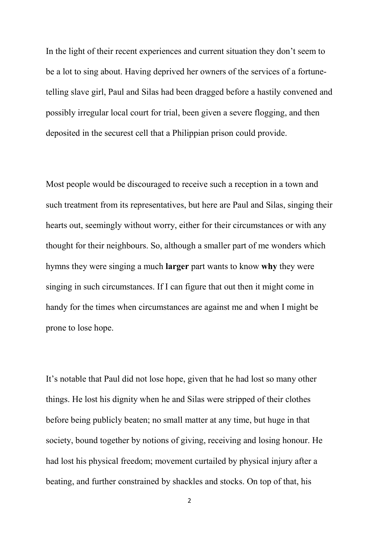In the light of their recent experiences and current situation they don't seem to be a lot to sing about. Having deprived her owners of the services of a fortunetelling slave girl, Paul and Silas had been dragged before a hastily convened and possibly irregular local court for trial, been given a severe flogging, and then deposited in the securest cell that a Philippian prison could provide.

Most people would be discouraged to receive such a reception in a town and such treatment from its representatives, but here are Paul and Silas, singing their hearts out, seemingly without worry, either for their circumstances or with any thought for their neighbours. So, although a smaller part of me wonders which hymns they were singing a much **larger** part wants to know **why** they were singing in such circumstances. If I can figure that out then it might come in handy for the times when circumstances are against me and when I might be prone to lose hope.

It's notable that Paul did not lose hope, given that he had lost so many other things. He lost his dignity when he and Silas were stripped of their clothes before being publicly beaten; no small matter at any time, but huge in that society, bound together by notions of giving, receiving and losing honour. He had lost his physical freedom; movement curtailed by physical injury after a beating, and further constrained by shackles and stocks. On top of that, his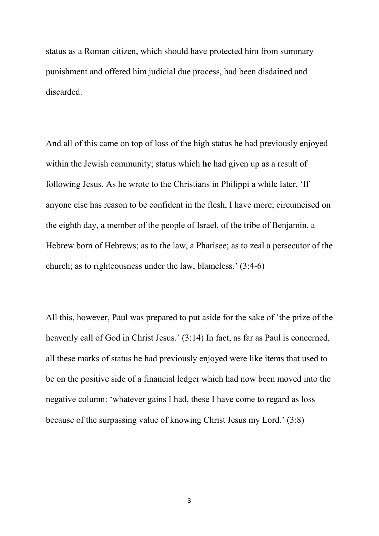status as a Roman citizen, which should have protected him from summary punishment and offered him judicial due process, had been disdained and discarded.

And all of this came on top of loss of the high status he had previously enjoyed within the Jewish community; status which **he** had given up as a result of following Jesus. As he wrote to the Christians in Philippi a while later, 'If anyone else has reason to be confident in the flesh, I have more; circumcised on the eighth day, a member of the people of Israel, of the tribe of Benjamin, a Hebrew born of Hebrews; as to the law, a Pharisee; as to zeal a persecutor of the church; as to righteousness under the law, blameless.' (3:4-6)

All this, however, Paul was prepared to put aside for the sake of 'the prize of the heavenly call of God in Christ Jesus.' (3:14) In fact, as far as Paul is concerned, all these marks of status he had previously enjoyed were like items that used to be on the positive side of a financial ledger which had now been moved into the negative column: 'whatever gains I had, these I have come to regard as loss because of the surpassing value of knowing Christ Jesus my Lord.' (3:8)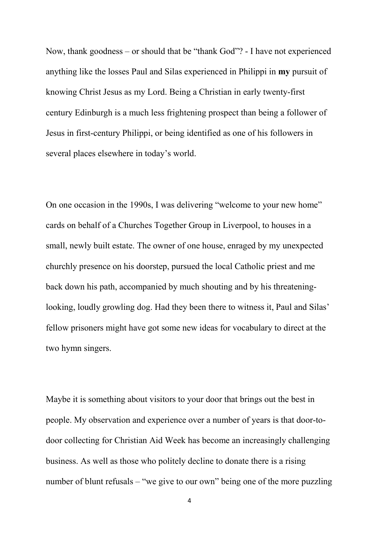Now, thank goodness – or should that be "thank God"? - I have not experienced anything like the losses Paul and Silas experienced in Philippi in **my** pursuit of knowing Christ Jesus as my Lord. Being a Christian in early twenty-first century Edinburgh is a much less frightening prospect than being a follower of Jesus in first-century Philippi, or being identified as one of his followers in several places elsewhere in today's world.

On one occasion in the 1990s, I was delivering "welcome to your new home" cards on behalf of a Churches Together Group in Liverpool, to houses in a small, newly built estate. The owner of one house, enraged by my unexpected churchly presence on his doorstep, pursued the local Catholic priest and me back down his path, accompanied by much shouting and by his threateninglooking, loudly growling dog. Had they been there to witness it, Paul and Silas' fellow prisoners might have got some new ideas for vocabulary to direct at the two hymn singers.

Maybe it is something about visitors to your door that brings out the best in people. My observation and experience over a number of years is that door-todoor collecting for Christian Aid Week has become an increasingly challenging business. As well as those who politely decline to donate there is a rising number of blunt refusals – "we give to our own" being one of the more puzzling

4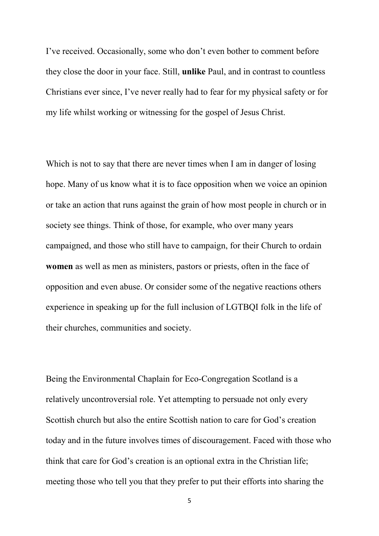I've received. Occasionally, some who don't even bother to comment before they close the door in your face. Still, **unlike** Paul, and in contrast to countless Christians ever since, I've never really had to fear for my physical safety or for my life whilst working or witnessing for the gospel of Jesus Christ.

Which is not to say that there are never times when I am in danger of losing hope. Many of us know what it is to face opposition when we voice an opinion or take an action that runs against the grain of how most people in church or in society see things. Think of those, for example, who over many years campaigned, and those who still have to campaign, for their Church to ordain **women** as well as men as ministers, pastors or priests, often in the face of opposition and even abuse. Or consider some of the negative reactions others experience in speaking up for the full inclusion of LGTBQI folk in the life of their churches, communities and society.

Being the Environmental Chaplain for Eco-Congregation Scotland is a relatively uncontroversial role. Yet attempting to persuade not only every Scottish church but also the entire Scottish nation to care for God's creation today and in the future involves times of discouragement. Faced with those who think that care for God's creation is an optional extra in the Christian life; meeting those who tell you that they prefer to put their efforts into sharing the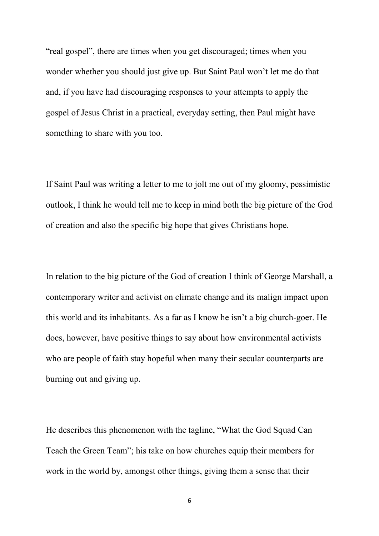"real gospel", there are times when you get discouraged; times when you wonder whether you should just give up. But Saint Paul won't let me do that and, if you have had discouraging responses to your attempts to apply the gospel of Jesus Christ in a practical, everyday setting, then Paul might have something to share with you too.

If Saint Paul was writing a letter to me to jolt me out of my gloomy, pessimistic outlook, I think he would tell me to keep in mind both the big picture of the God of creation and also the specific big hope that gives Christians hope.

In relation to the big picture of the God of creation I think of George Marshall, a contemporary writer and activist on climate change and its malign impact upon this world and its inhabitants. As a far as I know he isn't a big church-goer. He does, however, have positive things to say about how environmental activists who are people of faith stay hopeful when many their secular counterparts are burning out and giving up.

He describes this phenomenon with the tagline, "What the God Squad Can Teach the Green Team"; his take on how churches equip their members for work in the world by, amongst other things, giving them a sense that their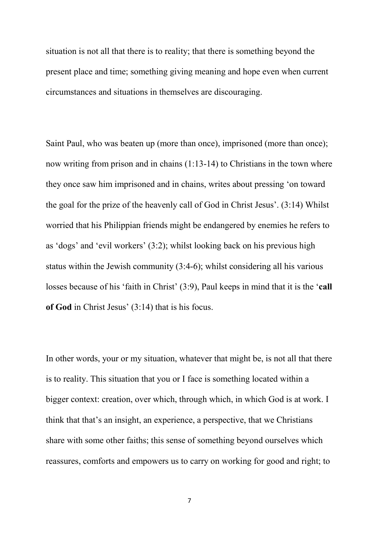situation is not all that there is to reality; that there is something beyond the present place and time; something giving meaning and hope even when current circumstances and situations in themselves are discouraging.

Saint Paul, who was beaten up (more than once), imprisoned (more than once); now writing from prison and in chains (1:13-14) to Christians in the town where they once saw him imprisoned and in chains, writes about pressing 'on toward the goal for the prize of the heavenly call of God in Christ Jesus'. (3:14) Whilst worried that his Philippian friends might be endangered by enemies he refers to as 'dogs' and 'evil workers' (3:2); whilst looking back on his previous high status within the Jewish community (3:4-6); whilst considering all his various losses because of his 'faith in Christ' (3:9), Paul keeps in mind that it is the '**call of God** in Christ Jesus' (3:14) that is his focus.

In other words, your or my situation, whatever that might be, is not all that there is to reality. This situation that you or I face is something located within a bigger context: creation, over which, through which, in which God is at work. I think that that's an insight, an experience, a perspective, that we Christians share with some other faiths; this sense of something beyond ourselves which reassures, comforts and empowers us to carry on working for good and right; to

7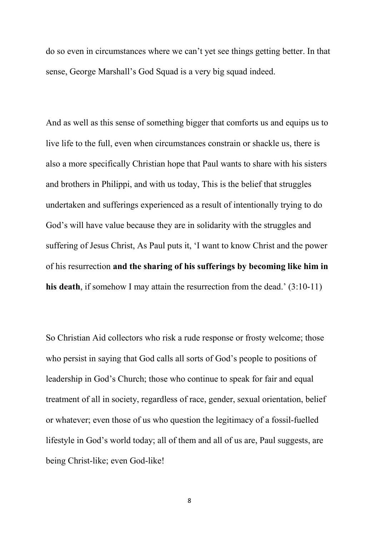do so even in circumstances where we can't yet see things getting better. In that sense, George Marshall's God Squad is a very big squad indeed.

And as well as this sense of something bigger that comforts us and equips us to live life to the full, even when circumstances constrain or shackle us, there is also a more specifically Christian hope that Paul wants to share with his sisters and brothers in Philippi, and with us today, This is the belief that struggles undertaken and sufferings experienced as a result of intentionally trying to do God's will have value because they are in solidarity with the struggles and suffering of Jesus Christ, As Paul puts it, 'I want to know Christ and the power of his resurrection **and the sharing of his sufferings by becoming like him in his death**, if somehow I may attain the resurrection from the dead.' (3:10-11)

So Christian Aid collectors who risk a rude response or frosty welcome; those who persist in saying that God calls all sorts of God's people to positions of leadership in God's Church; those who continue to speak for fair and equal treatment of all in society, regardless of race, gender, sexual orientation, belief or whatever; even those of us who question the legitimacy of a fossil-fuelled lifestyle in God's world today; all of them and all of us are, Paul suggests, are being Christ-like; even God-like!

8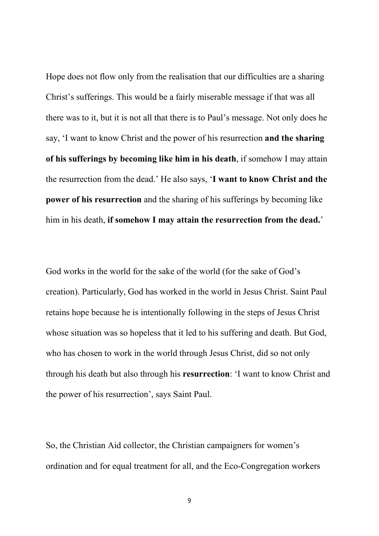Hope does not flow only from the realisation that our difficulties are a sharing Christ's sufferings. This would be a fairly miserable message if that was all there was to it, but it is not all that there is to Paul's message. Not only does he say, 'I want to know Christ and the power of his resurrection **and the sharing of his sufferings by becoming like him in his death**, if somehow I may attain the resurrection from the dead.' He also says, '**I want to know Christ and the power of his resurrection** and the sharing of his sufferings by becoming like him in his death, **if somehow I may attain the resurrection from the dead.**'

God works in the world for the sake of the world (for the sake of God's creation). Particularly, God has worked in the world in Jesus Christ. Saint Paul retains hope because he is intentionally following in the steps of Jesus Christ whose situation was so hopeless that it led to his suffering and death. But God, who has chosen to work in the world through Jesus Christ, did so not only through his death but also through his **resurrection**: 'I want to know Christ and the power of his resurrection', says Saint Paul.

So, the Christian Aid collector, the Christian campaigners for women's ordination and for equal treatment for all, and the Eco-Congregation workers